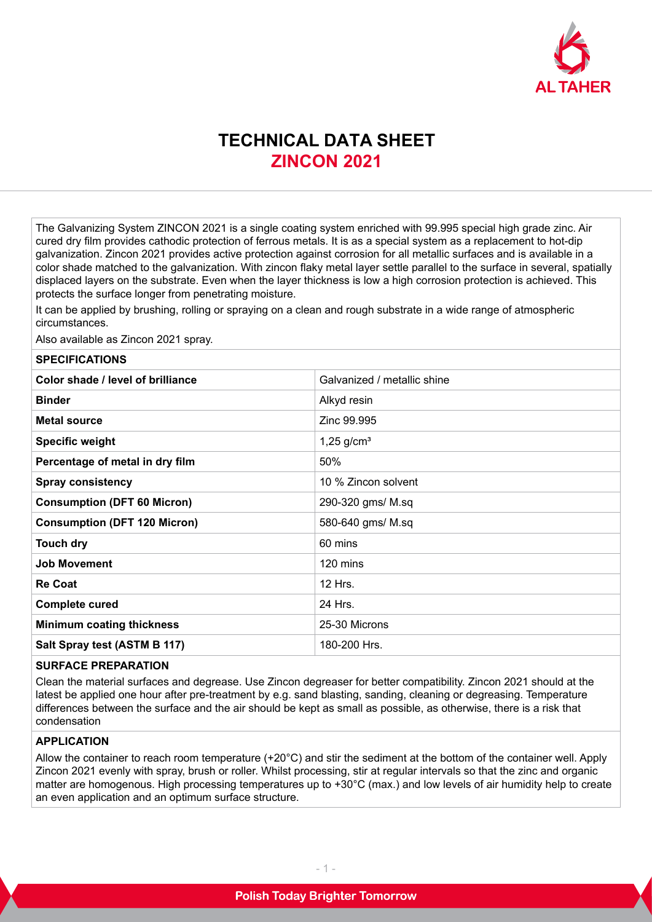

# **TECHNICAL DATA SHEET ZINCON 2021**

The Galvanizing System ZINCON 2021 is a single coating system enriched with 99.995 special high grade zinc. Air cured dry film provides cathodic protection of ferrous metals. It is as a special system as a replacement to hot-dip galvanization. Zincon 2021 provides active protection against corrosion for all metallic surfaces and is available in a color shade matched to the galvanization. With zincon flaky metal layer settle parallel to the surface in several, spatially displaced layers on the substrate. Even when the layer thickness is low a high corrosion protection is achieved. This protects the surface longer from penetrating moisture.

It can be applied by brushing, rolling or spraying on a clean and rough substrate in a wide range of atmospheric circumstances.

Also available as Zincon 2021 spray.

#### **SPECIFICATIONS**

| Color shade / level of brilliance   | Galvanized / metallic shine |
|-------------------------------------|-----------------------------|
| <b>Binder</b>                       | Alkyd resin                 |
| <b>Metal source</b>                 | Zinc 99.995                 |
| <b>Specific weight</b>              | $1,25$ g/cm <sup>3</sup>    |
| Percentage of metal in dry film     | 50%                         |
| <b>Spray consistency</b>            | 10 % Zincon solvent         |
| <b>Consumption (DFT 60 Micron)</b>  | 290-320 gms/ M.sq           |
| <b>Consumption (DFT 120 Micron)</b> | 580-640 gms/ M.sq           |
| <b>Touch dry</b>                    | 60 mins                     |
| <b>Job Movement</b>                 | 120 mins                    |
| <b>Re Coat</b>                      | 12 Hrs.                     |
| <b>Complete cured</b>               | 24 Hrs.                     |
| <b>Minimum coating thickness</b>    | 25-30 Microns               |
| Salt Spray test (ASTM B 117)        | 180-200 Hrs.                |

## **SURFACE PREPARATION**

Clean the material surfaces and degrease. Use Zincon degreaser for better compatibility. Zincon 2021 should at the latest be applied one hour after pre-treatment by e.g. sand blasting, sanding, cleaning or degreasing. Temperature differences between the surface and the air should be kept as small as possible, as otherwise, there is a risk that condensation

### **APPLICATION**

Allow the container to reach room temperature (+20°C) and stir the sediment at the bottom of the container well. Apply Zincon 2021 evenly with spray, brush or roller. Whilst processing, stir at regular intervals so that the zinc and organic matter are homogenous. High processing temperatures up to +30°C (max.) and low levels of air humidity help to create an even application and an optimum surface structure.